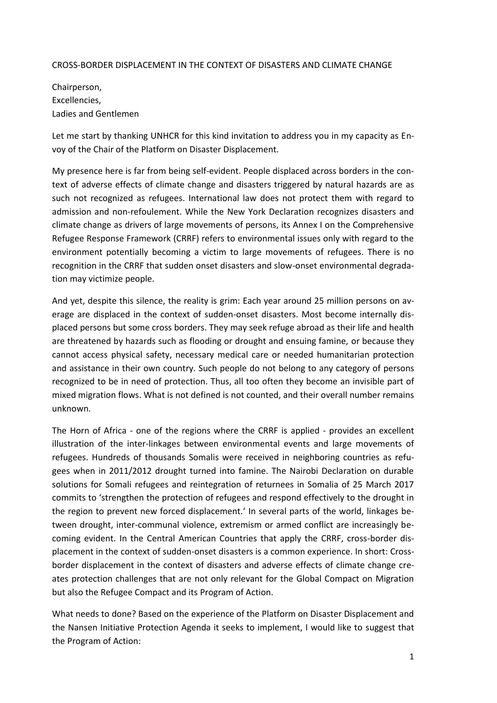## CROSS-BORDER DISPLACEMENT IN THE CONTEXT OF DISASTERS AND CLIMATE CHANGE

Chairperson, Excellencies, Ladies and Gentlemen

Let me start by thanking UNHCR for this kind invitation to address you in my capacity as Envoy of the Chair of the Platform on Disaster Displacement.

My presence here is far from being self-evident. People displaced across borders in the context of adverse effects of climate change and disasters triggered by natural hazards are as such not recognized as refugees. International law does not protect them with regard to admission and non-refoulement. While the New York Declaration recognizes disasters and climate change as drivers of large movements of persons, its Annex I on the Comprehensive Refugee Response Framework (CRRF) refers to environmental issues only with regard to the environment potentially becoming a victim to large movements of refugees. There is no recognition in the CRRF that sudden onset disasters and slow-onset environmental degradation may victimize people.

And yet, despite this silence, the reality is grim: Each year around 25 million persons on average are displaced in the context of sudden-onset disasters. Most become internally displaced persons but some cross borders. They may seek refuge abroad as their life and health are threatened by hazards such as flooding or drought and ensuing famine, or because they cannot access physical safety, necessary medical care or needed humanitarian protection and assistance in their own country. Such people do not belong to any category of persons recognized to be in need of protection. Thus, all too often they become an invisible part of mixed migration flows. What is not defined is not counted, and their overall number remains unknown.

The Horn of Africa - one of the regions where the CRRF is applied - provides an excellent illustration of the inter-linkages between environmental events and large movements of refugees. Hundreds of thousands Somalis were received in neighboring countries as refugees when in 2011/2012 drought turned into famine. The Nairobi Declaration on durable solutions for Somali refugees and reintegration of returnees in Somalia of 25 March 2017 commits to 'strengthen the protection of refugees and respond effectively to the drought in the region to prevent new forced displacement.' In several parts of the world, linkages between drought, inter-communal violence, extremism or armed conflict are increasingly becoming evident. In the Central American Countries that apply the CRRF, cross-border displacement in the context of sudden-onset disasters is a common experience. In short: Crossborder displacement in the context of disasters and adverse effects of climate change creates protection challenges that are not only relevant for the Global Compact on Migration but also the Refugee Compact and its Program of Action.

What needs to done? Based on the experience of the Platform on Disaster Displacement and the Nansen Initiative Protection Agenda it seeks to implement, I would like to suggest that the Program of Action: